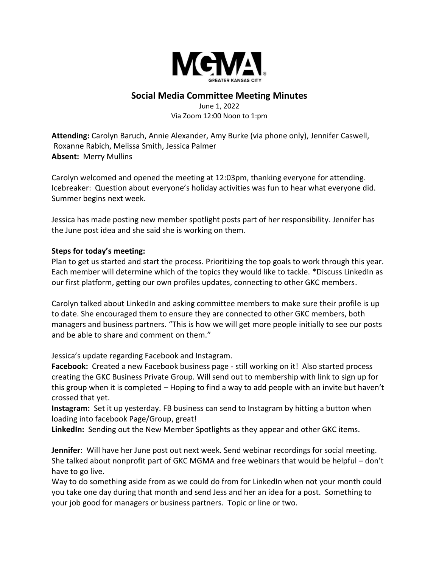

## **Social Media Committee Meeting Minutes**

June 1, 2022 Via Zoom 12:00 Noon to 1:pm

**Attending:** Carolyn Baruch, Annie Alexander, Amy Burke (via phone only), Jennifer Caswell, Roxanne Rabich, Melissa Smith, Jessica Palmer **Absent:** Merry Mullins

Carolyn welcomed and opened the meeting at 12:03pm, thanking everyone for attending. Icebreaker: Question about everyone's holiday activities was fun to hear what everyone did. Summer begins next week.

Jessica has made posting new member spotlight posts part of her responsibility. Jennifer has the June post idea and she said she is working on them.

## **Steps for today's meeting:**

Plan to get us started and start the process. Prioritizing the top goals to work through this year. Each member will determine which of the topics they would like to tackle. \*Discuss LinkedIn as our first platform, getting our own profiles updates, connecting to other GKC members.

Carolyn talked about LinkedIn and asking committee members to make sure their profile is up to date. She encouraged them to ensure they are connected to other GKC members, both managers and business partners. "This is how we will get more people initially to see our posts and be able to share and comment on them."

Jessica's update regarding Facebook and Instagram.

**Facebook:** Created a new Facebook business page - still working on it! Also started process creating the GKC Business Private Group. Will send out to membership with link to sign up for this group when it is completed – Hoping to find a way to add people with an invite but haven't crossed that yet.

**Instagram:** Set it up yesterday. FB business can send to Instagram by hitting a button when loading into facebook Page/Group, great!

**LinkedIn:** Sending out the New Member Spotlights as they appear and other GKC items.

**Jennifer**: Will have her June post out next week. Send webinar recordings for social meeting. She talked about nonprofit part of GKC MGMA and free webinars that would be helpful – don't have to go live.

Way to do something aside from as we could do from for LinkedIn when not your month could you take one day during that month and send Jess and her an idea for a post. Something to your job good for managers or business partners. Topic or line or two.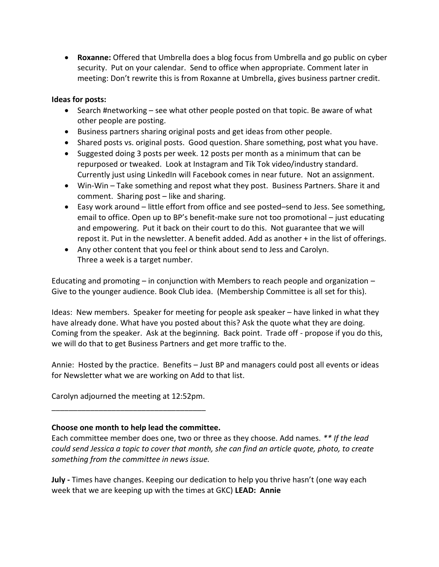• **Roxanne:** Offered that Umbrella does a blog focus from Umbrella and go public on cyber security. Put on your calendar. Send to office when appropriate. Comment later in meeting: Don't rewrite this is from Roxanne at Umbrella, gives business partner credit.

## **Ideas for posts:**

- Search #networking see what other people posted on that topic. Be aware of what other people are posting.
- Business partners sharing original posts and get ideas from other people.
- Shared posts vs. original posts. Good question. Share something, post what you have.
- Suggested doing 3 posts per week. 12 posts per month as a minimum that can be repurposed or tweaked. Look at Instagram and Tik Tok video/industry standard. Currently just using LinkedIn will Facebook comes in near future. Not an assignment.
- Win-Win Take something and repost what they post. Business Partners. Share it and comment. Sharing post – like and sharing.
- Easy work around little effort from office and see posted–send to Jess. See something, email to office. Open up to BP's benefit-make sure not too promotional – just educating and empowering. Put it back on their court to do this. Not guarantee that we will repost it. Put in the newsletter. A benefit added. Add as another + in the list of offerings.
- Any other content that you feel or think about send to Jess and Carolyn. Three a week is a target number.

Educating and promoting  $-$  in conjunction with Members to reach people and organization  $-$ Give to the younger audience. Book Club idea. (Membership Committee is all set for this).

Ideas: New members. Speaker for meeting for people ask speaker – have linked in what they have already done. What have you posted about this? Ask the quote what they are doing. Coming from the speaker. Ask at the beginning. Back point. Trade off - propose if you do this, we will do that to get Business Partners and get more traffic to the.

Annie: Hosted by the practice. Benefits – Just BP and managers could post all events or ideas for Newsletter what we are working on Add to that list.

Carolyn adjourned the meeting at 12:52pm. \_\_\_\_\_\_\_\_\_\_\_\_\_\_\_\_\_\_\_\_\_\_\_\_\_\_\_\_\_\_\_\_\_\_\_\_

## **Choose one month to help lead the committee.**

Each committee member does one, two or three as they choose. Add names. *\*\* If the lead could send Jessica a topic to cover that month, she can find an article quote, photo, to create something from the committee in news issue.*

**July -** Times have changes. Keeping our dedication to help you thrive hasn't (one way each week that we are keeping up with the times at GKC) **LEAD: Annie**